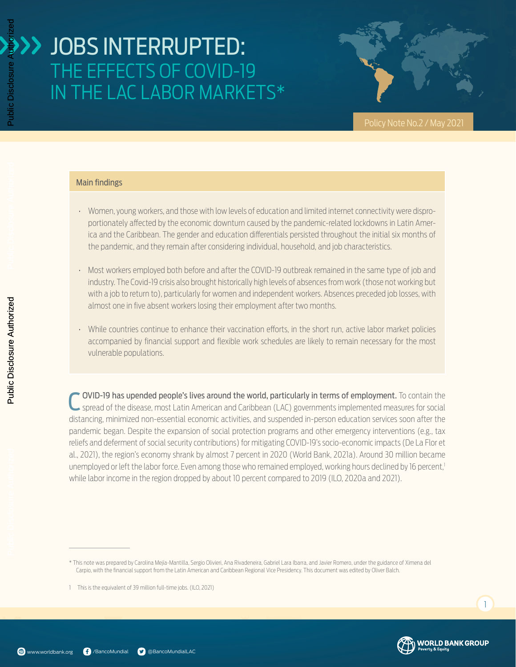

#### Main findings

- Women, young workers, and those with low levels of education and limited internet connectivity were disproportionately affected by the economic downturn caused by the pandemic-related lockdowns in Latin America and the Caribbean. The gender and education differentials persisted throughout the initial six months of the pandemic, and they remain after considering individual, household, and job characteristics.
- Most workers employed both before and after the COVID-19 outbreak remained in the same type of job and industry. The Covid-19 crisis also brought historically high levels of absences from work (those not working but with a job to return to), particularly for women and independent workers. Absences preceded job losses, with almost one in five absent workers losing their employment after two months.
- While countries continue to enhance their vaccination efforts, in the short run, active labor market policies accompanied by financial support and flexible work schedules are likely to remain necessary for the most vulnerable populations.

C OVID-19 has upended people's lives around the world, particularly in terms of employment. To contain the spread of the disease, most Latin American and Caribbean (LAC) governments implemented measures for social distancing, minimized non-essential economic activities, and suspended in-person education services soon after the pandemic began. Despite the expansion of social protection programs and other emergency interventions (e.g., tax reliefs and deferment of social security contributions) for mitigating COVID-19's socio-economic impacts (De La Flor et al., 2021), the region's economy shrank by almost 7 percent in 2020 (World Bank, 2021a). Around 30 million became unemployed or left the labor force. Even among those who remained employed, working hours declined by 16 percent,<sup>1</sup> while labor income in the region dropped by about 10 percent compared to 2019 (ILO, 2020a and 2021).



Public Disclosure Authorized

Public Disclosure Aut



 $\overline{1}$ 

<sup>\*</sup> This note was prepared by Carolina Mejía-Mantilla, Sergio Olivieri, Ana Rivadeneira, Gabriel Lara Ibarra, and Javier Romero, under the guidance of Ximena del Carpio, with the financial support from the Latin American and Caribbean Regional Vice Presidency. This document was edited by Oliver Balch.

<sup>1</sup> This is the equivalent of 39 million full-time jobs. (ILO, 2021)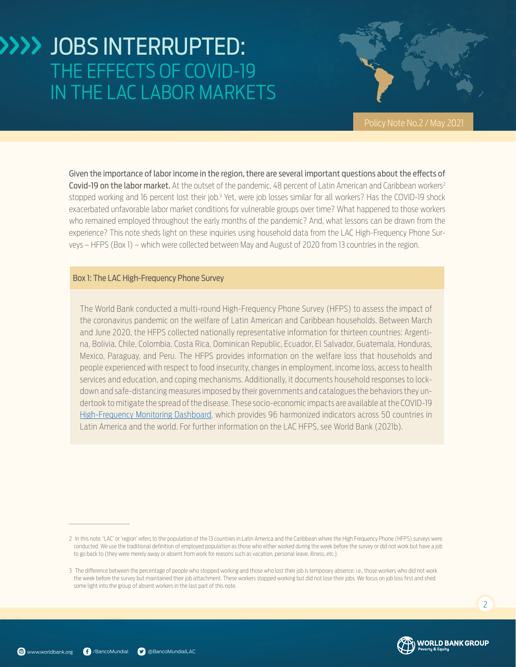

Given the importance of labor income in the region, there are several important questions about the effects of Covid-19 on the labor market. At the outset of the pandemic, 48 percent of Latin American and Caribbean workers<sup>2</sup> stopped working and 16 percent lost their job.<sup>3</sup> Yet, were job losses similar for all workers? Has the COVID-19 shock exacerbated unfavorable labor market conditions for vulnerable groups over time? What happened to those workers who remained employed throughout the early months of the pandemic? And, what lessons can be drawn from the experience? This note sheds light on these inquiries using household data from the LAC High-Frequency Phone Surveys – HFPS (Box 1) – which were collected between May and August of 2020 from 13 countries in the region.

#### Box 1: The LAC High-Frequency Phone Survey

The World Bank conducted a multi-round High-Frequency Phone Survey (HFPS) to assess the impact of the coronavirus pandemic on the welfare of Latin American and Caribbean households. Between March and June 2020, the HFPS collected nationally representative information for thirteen countries: Argentina, Bolivia, Chile, Colombia, Costa Rica, Dominican Republic, Ecuador, El Salvador, Guatemala, Honduras, Mexico, Paraguay, and Peru. The HFPS provides information on the welfare loss that households and people experienced with respect to food insecurity, changes in employment, income loss, access to health services and education, and coping mechanisms. Additionally, it documents household responses to lockdown and safe-distancing measures imposed by their governments and catalogues the behaviors they undertook to mitigate the spread of the disease. These socio-economic impacts are available at the COVID-19 [High-Frequency Monitoring Dashboard](https://www.worldbank.org/en/data/interactive/2020/11/11/covid-19-high-frequency-monitoring-dashboard), which provides 96 harmonized indicators across 50 countries in Latin America and the world. For further information on the LAC HFPS, see World Bank (2021b).





<sup>2</sup> In this note, 'LAC' or 'region' refers to the population of the 13 countries in Latin America and the Caribbean where the High Frequency Phone (HFPS) surveys were conducted. We use the traditional definition of employed population as those who either worked during the week before the survey or did not work but have a job to go back to (they were merely away or absent from work for reasons such as vacation, personal leave, illness, etc.).

<sup>3</sup> The difference between the percentage of people who stopped working and those who lost their job is temporary absence: i.e., those workers who did not work the week before the survey but maintained their job attachment. These workers stopped working but did not lose their jobs. We focus on job loss first and shed some light into the group of absent workers in the last part of this note.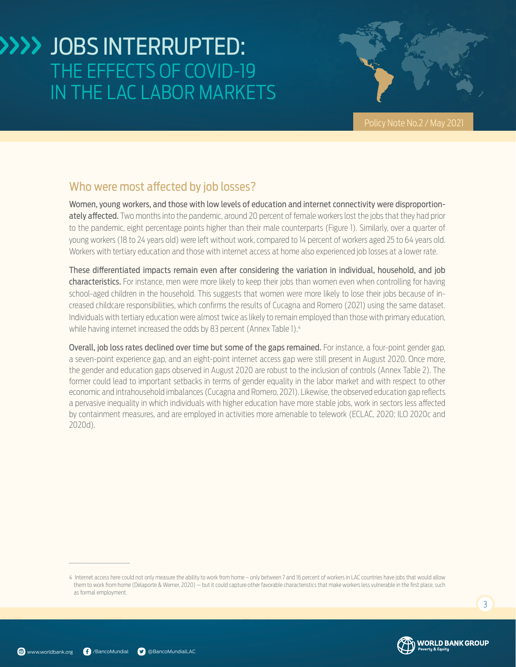

### Who were most affected by job losses?

Women, young workers, and those with low levels of education and internet connectivity were disproportionately affected. Two months into the pandemic, around 20 percent of female workers lost the jobs that they had prior to the pandemic, eight percentage points higher than their male counterparts ([Figure 1\)](#page-2-0). Similarly, over a quarter of young workers (18 to 24 years old) were left without work, compared to 14 percent of workers aged 25 to 64 years old. Workers with tertiary education and those with internet access at home also experienced job losses at a lower rate.

These differentiated impacts remain even after considering the variation in individual, household, and job characteristics. For instance, men were more likely to keep their jobs than women even when controlling for having school-aged children in the household. This suggests that women were more likely to lose their jobs because of increased childcare responsibilities, which confirms the results of Cucagna and Romero (2021) using the same dataset. Individuals with tertiary education were almost twice as likely to remain employed than those with primary education, while having internet increased the odds by 83 percent (Annex Table 1).<sup>4</sup>

<span id="page-2-0"></span>Overall, job loss rates declined over time but some of the gaps remained. For instance, a four-point gender gap, a seven-point experience gap, and an eight-point internet access gap were still present in August 2020. Once more, the gender and education gaps observed in August 2020 are robust to the inclusion of controls (Annex Table 2). The former could lead to important setbacks in terms of gender equality in the labor market and with respect to other economic and intrahousehold imbalances (Cucagna and Romero, 2021). Likewise, the observed education gap reflects a pervasive inequality in which individuals with higher education have more stable jobs, work in sectors less affected by containment measures, and are employed in activities more amenable to telework (ECLAC, 2020; ILO 2020c and 2020d).



<sup>4</sup> Internet access here could not only measure the ability to work from home – only between 7 and 16 percent of workers in LAC countries have jobs that would allow them to work from home (Delaporte & Werner, 2020) — but it could capture other favorable characteristics that make workers less vulnerable in the first place, such as formal employment.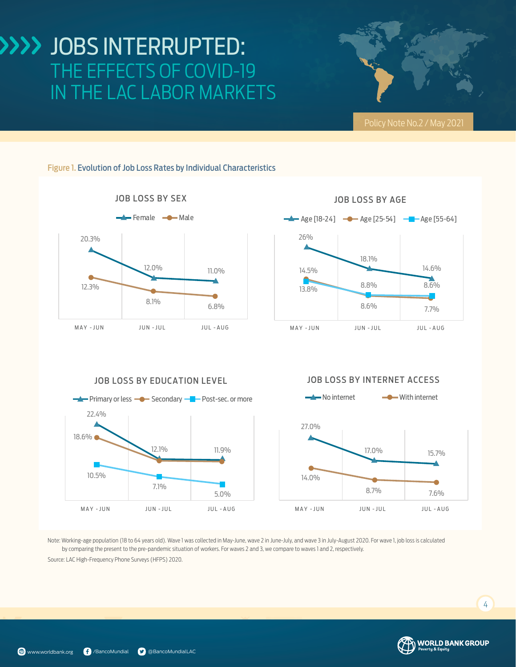



#### JOB LOSS BY EDUCATION LEVEL



#### JOB LOSS BY INTERNET ACCESS



Note: Working-age population (18 to 64 years old). Wave 1 was collected in May-June, wave 2 in June-July, and wave 3 in July-August 2020. For wave 1, job loss is calculated by comparing the present to the pre-pandemic situation of workers. For waves 2 and 3, we compare to waves 1 and 2, respectively.

Source: LAC High-Frequency Phone Surveys (HFPS) 2020.

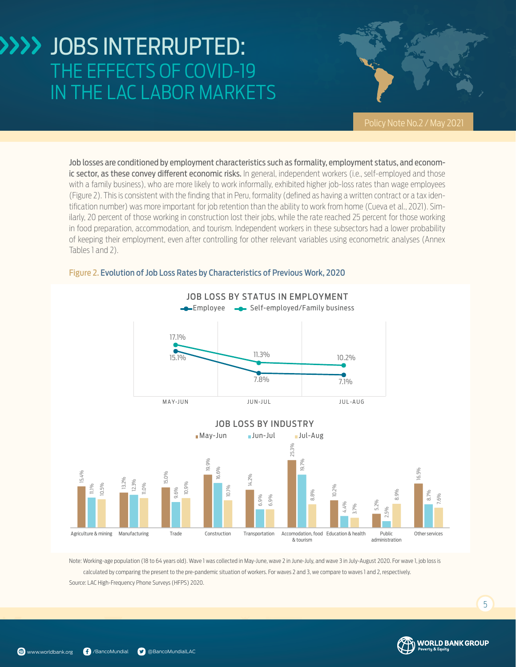

Job losses are conditioned by employment characteristics such as formality, employment status, and economic sector, as these convey different economic risks. In general, independent workers (i.e., self-employed and those with a family business), who are more likely to work informally, exhibited higher job-loss rates than wage employees ([Figure 2\)](#page-4-0). This is consistent with the finding that in Peru, formality (defined as having a written contract or a tax identification number) was more important for job retention than the ability to work from home (Cueva et al., 2021). Similarly, 20 percent of those working in construction lost their jobs, while the rate reached 25 percent for those working in food preparation, accommodation, and tourism. Independent workers in these subsectors had a lower probability of keeping their employment, even after controlling for other relevant variables using econometric analyses (Annex Tables 1 and 2).



#### <span id="page-4-0"></span>Figure 2. Evolution of Job Loss Rates by Characteristics of Previous Work, 2020

Note: Working-age population (18 to 64 years old). Wave 1 was collected in May-June, wave 2 in June-July, and wave 3 in July-August 2020. For wave 1, job loss is calculated by comparing the present to the pre-pandemic situation of workers. For waves 2 and 3, we compare to waves 1 and 2, respectively. Source: LAC High-Frequency Phone Surveys (HFPS) 2020.

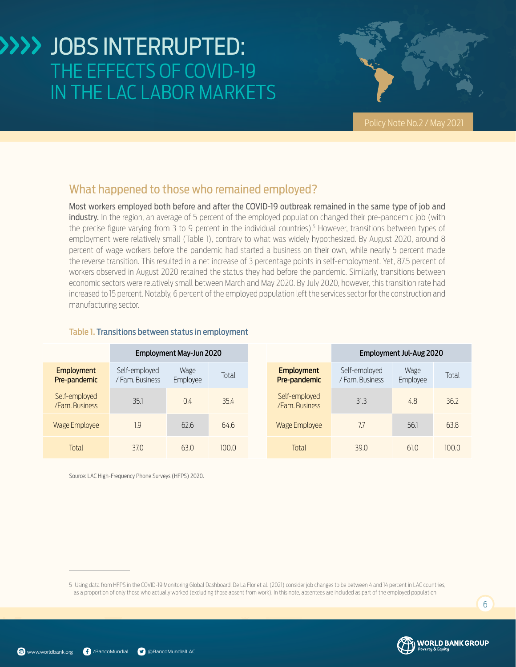

### What happened to those who remained employed?

Most workers employed both before and after the COVID-19 outbreak remained in the same type of job and industry. In the region, an average of 5 percent of the employed population changed their pre-pandemic job (with the precise figure varying from 3 to 9 percent in the individual countries).5 However, transitions between types of employment were relatively small ([Table 1](#page-5-0)), contrary to what was widely hypothesized. By August 2020, around 8 percent of wage workers before the pandemic had started a business on their own, while nearly 5 percent made the reverse transition. This resulted in a net increase of 3 percentage points in self-employment. Yet, 87.5 percent of workers observed in August 2020 retained the status they had before the pandemic. Similarly, transitions between economic sectors were relatively small between March and May 2020. By July 2020, however, this transition rate had increased to 15 percent. Notably, 6 percent of the employed population left the services sector for the construction and manufacturing sector.

#### Employment May-Jun 2020 Employment Jul-Aug 2020 **Employment** Pre-pandemic Self-employed / Fam. Business Wage Wage Total <mark>Employment</mark><br>Employee Total <mark>Pre-pandemic</mark> Self-employed / Fam. Business Wage <sup>vvage</sup> Total<br>Employee Total Self-employed /Fam. Business 35.1 0.4 35.4 Self-employed Self-employed<br>
/Fam. Business 31.3 4.8 36.2 Wage Employee 1.9 1.9 62.6 64.6 Wage Employee 7.7 56.1 63.8 Total 37.0 63.0 100.0 Total 39.0 61.0 100.0

#### <span id="page-5-0"></span>Table 1. Transitions between status in employment

Source: LAC High-Frequency Phone Surveys (HFPS) 2020.

5 Using data from HFPS in the COVID-19 Monitoring Global Dashboard, De La Flor et al. (2021) consider job changes to be between 4 and 14 percent in LAC countries, as a proportion of only those who actually worked (excluding those absent from work). In this note, absentees are included as part of the employed population.

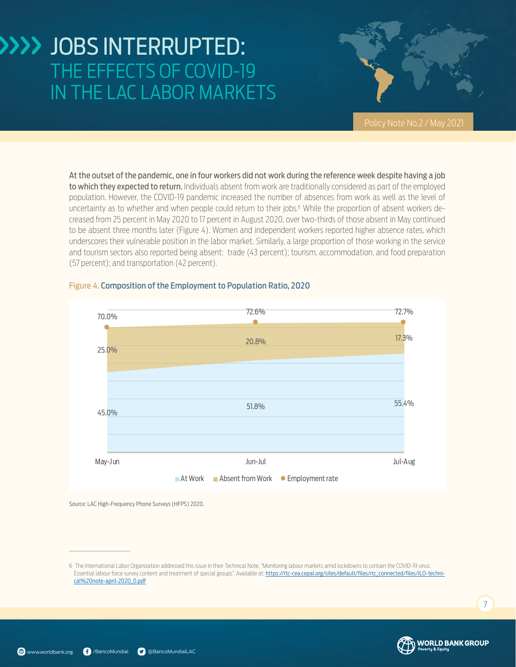

<span id="page-6-0"></span>At the outset of the pandemic, one in four workers did not work during the reference week despite having a job to which they expected to return. Individuals absent from work are traditionally considered as part of the employed population. However, the COVID-19 pandemic increased the number of absences from work as well as the level of uncertainty as to whether and when people could return to their jobs.6 While the proportion of absent workers decreased from 25 percent in May 2020 to 17 percent in August 2020, over two-thirds of those absent in May continued to be absent three months later ([Figure 4\)](#page-6-0). Women and independent workers reported higher absence rates, which underscores their vulnerable position in the labor market. Similarly, a large proportion of those working in the service and tourism sectors also reported being absent: trade (43 percent); tourism, accommodation, and food preparation (57 percent); and transportation (42 percent).



#### Figure 4. Composition of the Employment to Population Ratio, 2020

Source: LAC High-Frequency Phone Surveys (HFPS) 2020.



<sup>6</sup> The International Labor Organization addressed this issue in their Technical Note, "Monitoring labour markets amid lockdowns to contain the COVID-19 virus: Essential labour force survey content and treatment of special groups". Available at: [https://rtc-cea.cepal.org/sites/default/files/rtc\\_connected/files/ILO-techni](https://rtc-cea.cepal.org/sites/default/files/rtc_connected/files/ILO-technical%20note-april-2020_0.pdf)[cal%20note-april-2020\\_0.pdf](https://rtc-cea.cepal.org/sites/default/files/rtc_connected/files/ILO-technical%20note-april-2020_0.pdf)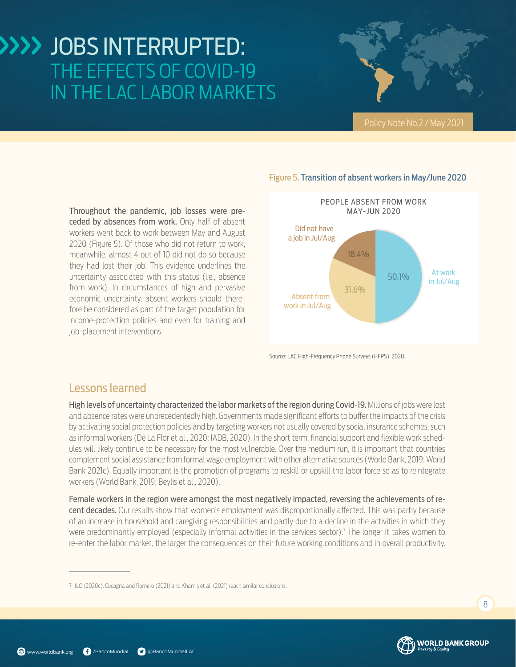Throughout the pandemic, job losses were preceded by absences from work. Only half of absent workers went back to work between May and August 2020 [\(Figure 5\)](#page-7-0). Of those who did not return to work, meanwhile, almost 4 out of 10 did not do so because they had lost their job. This evidence underlines the uncertainty associated with this status (i.e., absence from work). In circumstances of high and pervasive economic uncertainty, absent workers should therefore be considered as part of the target population for income-protection policies and even for training and job-placement interventions.

#### <span id="page-7-0"></span>Figure 5. Transition of absent workers in May/June 2020



Source: LAC High-Frequency Phone Surveys (HFPS), 2020.

### Lessons learned

High levels of uncertainty characterized the labor markets of the region during Covid-19. Millions of jobs were lost and absence rates were unprecedentedly high. Governments made significant efforts to buffer the impacts of the crisis by activating social protection policies and by targeting workers not usually covered by social insurance schemes, such as informal workers (De La Flor et al., 2020; IADB, 2020). In the short term, financial support and flexible work schedules will likely continue to be necessary for the most vulnerable. Over the medium run, it is important that countries complement social assistance from formal wage employment with other alternative sources (World Bank, 2019; World Bank 2021c). Equally important is the promotion of programs to reskill or upskill the labor force so as to reintegrate workers (World Bank, 2019; Beylis et al., 2020).

Female workers in the region were amongst the most negatively impacted, reversing the achievements of recent decades. Our results show that women's employment was disproportionally affected. This was partly because of an increase in household and caregiving responsibilities and partly due to a decline in the activities in which they were predominantly employed (especially informal activities in the services sector).<sup>7</sup> The longer it takes women to re-enter the labor market, the larger the consequences on their future working conditions and in overall productivity.



<sup>7</sup> ILO (2020c), Cucagna and Romero (2021) and Khamis et al. (2021) reach similar conclusions.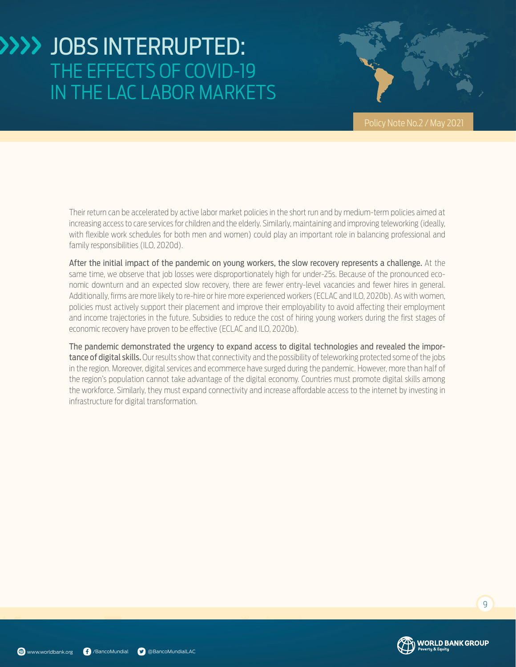

Their return can be accelerated by active labor market policies in the short run and by medium-term policies aimed at increasing access to care services for children and the elderly. Similarly, maintaining and improving teleworking (ideally, with flexible work schedules for both men and women) could play an important role in balancing professional and family responsibilities (ILO, 2020d).

After the initial impact of the pandemic on young workers, the slow recovery represents a challenge. At the same time, we observe that job losses were disproportionately high for under-25s. Because of the pronounced economic downturn and an expected slow recovery, there are fewer entry-level vacancies and fewer hires in general. Additionally, firms are more likely to re-hire or hire more experienced workers (ECLAC and ILO, 2020b). As with women, policies must actively support their placement and improve their employability to avoid affecting their employment and income trajectories in the future. Subsidies to reduce the cost of hiring young workers during the first stages of economic recovery have proven to be effective (ECLAC and ILO, 2020b).

The pandemic demonstrated the urgency to expand access to digital technologies and revealed the importance of digital skills. Our results show that connectivity and the possibility of teleworking protected some of the jobs in the region. Moreover, digital services and ecommerce have surged during the pandemic. However, more than half of the region's population cannot take advantage of the digital economy. Countries must promote digital skills among the workforce. Similarly, they must expand connectivity and increase affordable access to the internet by investing in infrastructure for digital transformation.

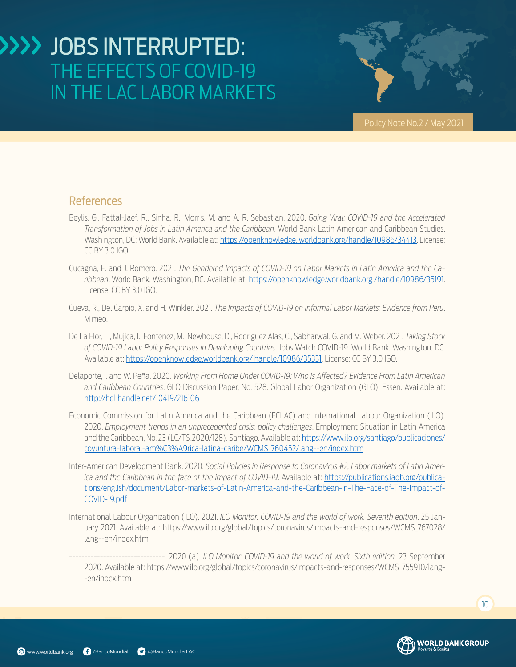

### References

- Beylis, G., Fattal-Jaef, R., Sinha, R., Morris, M. and A. R. Sebastian. 2020. *Going Viral: COVID-19 and the Accelerated Transformation of Jobs in Latin America and the Caribbean*. World Bank Latin American and Caribbean Studies. Washington, DC: World Bank. Available at: https://openknowledge. worldbank.org/handle/10986/34413. License: CC BY 3.0 IGO
- Cucagna, E. and J. Romero. 2021. *The Gendered Impacts of COVID-19 on Labor Markets in Latin America and the Caribbean*. World Bank, Washington, DC. Available at: https://openknowledge.worldbank.org /handle/10986/35191. License: CC BY 3.0 IGO.
- Cueva, R., Del Carpio, X. and H. Winkler. 2021. *The Impacts of COVID-19 on Informal Labor Markets: Evidence from Peru*. Mimeo.
- De La Flor, L., Mujica, I., Fontenez, M., Newhouse, D., Rodriguez Alas, C., Sabharwal, G. and M. Weber. 2021. *Taking Stock of COVID-19 Labor Policy Responses in Developing Countries*. Jobs Watch COVID-19. World Bank, Washington, DC. Available at: [https://openknowledge.worldbank.org/ handle/10986/35331.](https://openknowledge.worldbank.org/%20handle/10986/35331) License: CC BY 3.0 IGO.
- Delaporte, I. and W. Peña. 2020. *Working From Home Under COVID-19: Who Is Affected? Evidence From Latin American and Caribbean Countries*. GLO Discussion Paper, No. 528. Global Labor Organization (GLO), Essen. Available at: <http://hdl.handle.net/10419/216106>
- Economic Commission for Latin America and the Caribbean (ECLAC) and International Labour Organization (ILO). 2020. *Employment trends in an unprecedented crisis: policy challenges*. Employment Situation in Latin America and the Caribbean, No. 23 (LC/TS.2020/128). Santiago. Available at: [https://www.ilo.org/santiago/publicaciones/](https://www.ilo.org/santiago/publicaciones/coyuntura-laboral-am%C3%A9rica-latina-caribe/WCMS_760452/lang--en/index.htm) [coyuntura-laboral-am%C3%A9rica-latina-caribe/WCMS\\_760452/lang--en/index.htm](https://www.ilo.org/santiago/publicaciones/coyuntura-laboral-am%C3%A9rica-latina-caribe/WCMS_760452/lang--en/index.htm)
- Inter-American Development Bank. 2020. *Social Policies in Response to Coronavirus #2, Labor markets of Latin America and the Caribbean in the face of the impact of COVID-19*. Available at: [https://publications.iadb.org/publica](https://publications.iadb.org/publications/english/document/Labor-markets-of-Latin-America-and-the-Caribbean-in-The-Face-of-The-Impact-of-COVID-19.pdf)[tions/english/document/Labor-markets-of-Latin-America-and-the-Caribbean-in-The-Face-of-The-Impact-of-](https://publications.iadb.org/publications/english/document/Labor-markets-of-Latin-America-and-the-Caribbean-in-The-Face-of-The-Impact-of-COVID-19.pdf)[COVID-19.pdf](https://publications.iadb.org/publications/english/document/Labor-markets-of-Latin-America-and-the-Caribbean-in-The-Face-of-The-Impact-of-COVID-19.pdf)
- International Labour Organization (ILO). 2021. *ILO Monitor: COVID-19 and the world of work. Seventh edition*. 25 January 2021. Available at: https://www.ilo.org/global/topics/coronavirus/impacts-and-responses/WCMS\_767028/ lang--en/index.htm





<sup>-------------------------------. 2020 (</sup>a). *ILO Monitor: COVID-19 and the world of work. Sixth edition.* 23 September 2020. Available at: https://www.ilo.org/global/topics/coronavirus/impacts-and-responses/WCMS\_755910/lang- -en/index.htm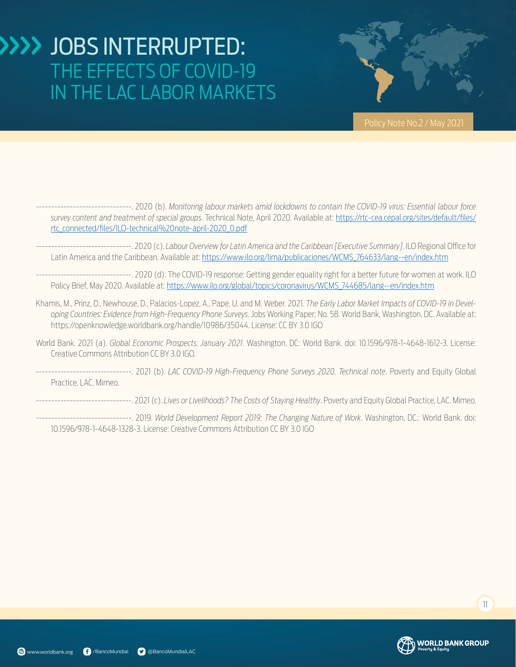

- -------------------------------. 2020 (b). *Monitoring labour markets amid lockdowns to contain the COVID-19 virus: Essential labour force survey content and treatment of special groups*. Technical Note, April 2020. Available at: [https://rtc-cea.cepal.org/sites/default/files/](https://rtc-cea.cepal.org/sites/default/files/rtc_connected/files/ILO-technical%20note-april-2020_0.pdf) [rtc\\_connected/files/ILO-technical%20note-april-2020\\_0.pdf](https://rtc-cea.cepal.org/sites/default/files/rtc_connected/files/ILO-technical%20note-april-2020_0.pdf)
- -------------------------------. 2020 (c). *Labour Overview for Latin America and the Caribbean [Executive Summary]*. ILO Regional Office for Latin America and the Caribbean. Available at: [https://www.ilo.org/lima/publicaciones/WCMS\\_764633/lang--en/index.htm](https://www.ilo.org/lima/publicaciones/WCMS_764633/lang--en/index.htm)
- -------------------------------. 2020 (d). The COVID-19 response: Getting gender equality right for a better future for women at work. ILO Policy Brief, May 2020. Available at: [https://www.ilo.org/global/topics/coronavirus/WCMS\\_744685/lang--en/index.htm](https://www.ilo.org/global/topics/coronavirus/WCMS_744685/lang--en/index.htm)
- Khamis, M., Prinz, D., Newhouse, D., Palacios-Lopez, A., Pape, U. and M. Weber. 2021. *The Early Labor Market Impacts of COVID-19 in Developing Countries: Evidence from High-Frequency Phone Surveys*. Jobs Working Paper; No. 58. World Bank, Washington, DC. Available at: https://openknowledge.worldbank.org/handle/10986/35044. License: CC BY 3.0 IGO
- World Bank. 2021 (a). *Global Economic Prospects. January 2021*. Washington, DC: World Bank. doi: 10.1596/978-1-4648-1612-3. License: Creative Commons Attribution CC BY 3.0 IGO.
- -------------------------------. 2021 (b). *LAC COVID-19 High-Frequency Phone Surveys 2020, Technical note*. Poverty and Equity Global Practice, LAC. Mimeo.
- -------------------------------. 2021 (c). *Lives or Livelihoods? The Costs of Staying Healthy*. Poverty and Equity Global Practice, LAC. Mimeo.
- -------------------------------. 2019. *World Development Report 2019: The Changing Nature of Work*. Washington, DC.: World Bank. doi: 10.1596/978-1-4648-1328-3. License: Creative Commons Attribution CC BY 3.0 IGO

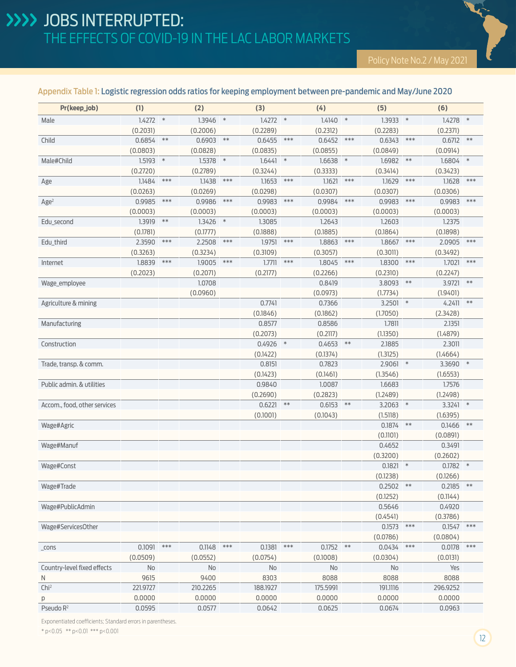#### Appendix Table 1: Logistic regression odds ratios for keeping employment between pre-pandemic and May/June 2020

| 1.4272<br>1.3946<br>1.4272<br>1.4278<br>$\ast$<br>$\ast$<br>$*$<br>1.4140<br>$*$<br>1.3933<br>$\ast$<br>Male<br>$\ast$<br>(0.2031)<br>(0.2006)<br>(0.2289)<br>(0.2312)<br>(0.2283)<br>(0.2371)<br>0.6854<br>$\ast\ast$<br>0.6712<br>0.6903<br>$***$<br>0.6455<br>***<br>0.6452<br>***<br>0.6343<br>***<br>$***$<br>Child<br>(0.0803)<br>(0.0828)<br>(0.0835)<br>(0.0855)<br>(0.0849)<br>(0.0914)<br>$\ast$<br>1.5378<br>$\ast$<br>1.6441<br>$*$<br>$***$<br>$\ast$<br>Male#Child<br>1.5193<br>$1.6638$ *<br>1.6982<br>1.6804<br>(0.2720)<br>(0.2789)<br>(0.3244)<br>(0.3333)<br>(0.3414)<br>(0.3423)<br>$***$<br>$***$<br>$***$<br>1.1621<br>$***$<br>***<br>$***$<br>1.1484<br>1.1438<br>1.1653<br>1.1629<br>1.1628<br>Age<br>(0.0263)<br>(0.0269)<br>(0.0298)<br>(0.0307)<br>(0.0307)<br>(0.0306)<br>$***$<br>$***$<br>$***$<br>0.9985<br>0.9986<br>0.9983<br>***<br>0.9984<br>$***$<br>0.9983<br>***<br>0.9983<br>Age <sup>2</sup><br>(0.0003)<br>(0.0003)<br>(0.0003)<br>(0.0003)<br>(0.0003)<br>(0.0003)<br>1.3919<br>$***$<br>1.3426<br>$\ast$<br>1.3085<br>1.2643<br>1.2603<br>1.2375<br>Edu_second<br>(0.1781)<br>(0.1777)<br>(0.1888)<br>(0.1898)<br>(0.1885)<br>(0.1864)<br>2.3590<br>$***$<br>2.2508<br>***<br>1.9751<br>***<br>1.8863<br>***<br>1.8667<br>***<br>2.0905<br>$***$<br>Edu_third<br>(0.3263)<br>(0.3234)<br>(0.3109)<br>(0.3057)<br>(0.3011)<br>(0.3492)<br>1.8839<br>$***$<br>$***$<br>1.7711<br>$***$<br>1.8300<br>1.7021<br>$***$<br>1.9005<br>1.8045<br>***<br>***<br>Internet<br>(0.2023)<br>(0.2071)<br>(0.2177)<br>(0.2266)<br>(0.2310)<br>(0.2247)<br>1.0708<br>3.9721<br>$***$<br>0.8419<br>3.8093<br>$***$<br>Wage_employee<br>(0.0960)<br>(0.0973)<br>(1.7734)<br>(1.9401)<br>$***$<br>0.7741<br>0.7366<br>$3.2501$ *<br>4.2411<br>Agriculture & mining<br>(0.1846)<br>(0.1862)<br>(1.7050)<br>(2.3428)<br>0.8577<br>0.8586<br>1.7811<br>2.1351<br>Manufacturing<br>(0.2073)<br>(0.2117)<br>(1.1350)<br>(1.4879)<br>0.4926<br>$*$<br>0.4653<br>$***$<br>2.1885<br>2.3011<br>Construction<br>(0.1422)<br>(0.1374)<br>(1.3125)<br>(1.4664)<br>0.8151<br>0.7823<br>$2.9061$ *<br>3.3690 *<br>Trade, transp. & comm.<br>(0.1423)<br>(0.1461)<br>(1.3546)<br>(1.6553)<br>Public admin. & utilities<br>0.9840<br>1.6683<br>1.7576<br>1.0087<br>(0.2690)<br>(0.2823)<br>(1.2489)<br>(1.2498)<br>**<br>0.6221<br>0.6153<br>$**$<br>3.2063<br>$\ast$<br>3.3241<br>$\ast$<br>Accom., food, other services<br>(0.1001)<br>(0.1043)<br>(1.5118)<br>(1.6395)<br>0.1874<br>$**$<br>0.1466<br>$***$<br>Wage#Agric<br>(0.1101)<br>(0.0891)<br>0.4652<br>0.3491<br>Wage#Manuf<br>(0.3200)<br>(0.2602)<br>0.1821<br>$0.1782$ *<br>Wage#Const<br>$\ast$<br>(0.1238)<br>(0.1266)<br>$0.2185$ **<br>$0.2502$ **<br>Wage#Trade<br>(0.1252)<br>(0.1144)<br>0.5646<br>0.4920<br>Wage#PublicAdmin<br>(0.4541)<br>(0.3786)<br>0.1573<br>$***$<br>$***$<br>0.1547<br>Wage#ServicesOther<br>(0.0786)<br>(0.0804)<br>0.0434<br>0.0178<br>0.1091<br>$***$<br>0.1148<br>$***$<br>0.1381<br>$***$<br>$0.1752$ **<br>$***$<br>$***$<br>_cons<br>(0.0509)<br>(0.1008)<br>(0.0552)<br>(0.0754)<br>(0.0304)<br>(0.0131)<br>Country-level fixed effects<br>No<br>Yes<br>No<br>No<br>No<br>No<br>8303<br>8088<br>9615<br>9400<br>8088<br>8088<br>N<br>Chi <sup>2</sup><br>221.9727<br>210.2265<br>188.1927<br>175.5991<br>191.1116<br>296.9252<br>0.0000<br>0.0000<br>0.0000<br>0.0000<br>0.0000<br>0.0000<br>р | Pr(keep_job)          | (1)    | (2)    | (3)    | (4)    | (5)    | (6)    |  |
|---------------------------------------------------------------------------------------------------------------------------------------------------------------------------------------------------------------------------------------------------------------------------------------------------------------------------------------------------------------------------------------------------------------------------------------------------------------------------------------------------------------------------------------------------------------------------------------------------------------------------------------------------------------------------------------------------------------------------------------------------------------------------------------------------------------------------------------------------------------------------------------------------------------------------------------------------------------------------------------------------------------------------------------------------------------------------------------------------------------------------------------------------------------------------------------------------------------------------------------------------------------------------------------------------------------------------------------------------------------------------------------------------------------------------------------------------------------------------------------------------------------------------------------------------------------------------------------------------------------------------------------------------------------------------------------------------------------------------------------------------------------------------------------------------------------------------------------------------------------------------------------------------------------------------------------------------------------------------------------------------------------------------------------------------------------------------------------------------------------------------------------------------------------------------------------------------------------------------------------------------------------------------------------------------------------------------------------------------------------------------------------------------------------------------------------------------------------------------------------------------------------------------------------------------------------------------------------------------------------------------------------------------------------------------------------------------------------------------------------------------------------------------------------------------------------------------------------------------------------------------------------------------------------------------------------------------------------------------------------------------------------------------------------------------------------------------------------------------------------------------------------------------------------------------------------------------------------------------------------------------------------------------------------------------------------------------------------------------------------------------------------------------------------|-----------------------|--------|--------|--------|--------|--------|--------|--|
|                                                                                                                                                                                                                                                                                                                                                                                                                                                                                                                                                                                                                                                                                                                                                                                                                                                                                                                                                                                                                                                                                                                                                                                                                                                                                                                                                                                                                                                                                                                                                                                                                                                                                                                                                                                                                                                                                                                                                                                                                                                                                                                                                                                                                                                                                                                                                                                                                                                                                                                                                                                                                                                                                                                                                                                                                                                                                                                                                                                                                                                                                                                                                                                                                                                                                                                                                                                                               |                       |        |        |        |        |        |        |  |
|                                                                                                                                                                                                                                                                                                                                                                                                                                                                                                                                                                                                                                                                                                                                                                                                                                                                                                                                                                                                                                                                                                                                                                                                                                                                                                                                                                                                                                                                                                                                                                                                                                                                                                                                                                                                                                                                                                                                                                                                                                                                                                                                                                                                                                                                                                                                                                                                                                                                                                                                                                                                                                                                                                                                                                                                                                                                                                                                                                                                                                                                                                                                                                                                                                                                                                                                                                                                               |                       |        |        |        |        |        |        |  |
|                                                                                                                                                                                                                                                                                                                                                                                                                                                                                                                                                                                                                                                                                                                                                                                                                                                                                                                                                                                                                                                                                                                                                                                                                                                                                                                                                                                                                                                                                                                                                                                                                                                                                                                                                                                                                                                                                                                                                                                                                                                                                                                                                                                                                                                                                                                                                                                                                                                                                                                                                                                                                                                                                                                                                                                                                                                                                                                                                                                                                                                                                                                                                                                                                                                                                                                                                                                                               |                       |        |        |        |        |        |        |  |
|                                                                                                                                                                                                                                                                                                                                                                                                                                                                                                                                                                                                                                                                                                                                                                                                                                                                                                                                                                                                                                                                                                                                                                                                                                                                                                                                                                                                                                                                                                                                                                                                                                                                                                                                                                                                                                                                                                                                                                                                                                                                                                                                                                                                                                                                                                                                                                                                                                                                                                                                                                                                                                                                                                                                                                                                                                                                                                                                                                                                                                                                                                                                                                                                                                                                                                                                                                                                               |                       |        |        |        |        |        |        |  |
|                                                                                                                                                                                                                                                                                                                                                                                                                                                                                                                                                                                                                                                                                                                                                                                                                                                                                                                                                                                                                                                                                                                                                                                                                                                                                                                                                                                                                                                                                                                                                                                                                                                                                                                                                                                                                                                                                                                                                                                                                                                                                                                                                                                                                                                                                                                                                                                                                                                                                                                                                                                                                                                                                                                                                                                                                                                                                                                                                                                                                                                                                                                                                                                                                                                                                                                                                                                                               |                       |        |        |        |        |        |        |  |
|                                                                                                                                                                                                                                                                                                                                                                                                                                                                                                                                                                                                                                                                                                                                                                                                                                                                                                                                                                                                                                                                                                                                                                                                                                                                                                                                                                                                                                                                                                                                                                                                                                                                                                                                                                                                                                                                                                                                                                                                                                                                                                                                                                                                                                                                                                                                                                                                                                                                                                                                                                                                                                                                                                                                                                                                                                                                                                                                                                                                                                                                                                                                                                                                                                                                                                                                                                                                               |                       |        |        |        |        |        |        |  |
|                                                                                                                                                                                                                                                                                                                                                                                                                                                                                                                                                                                                                                                                                                                                                                                                                                                                                                                                                                                                                                                                                                                                                                                                                                                                                                                                                                                                                                                                                                                                                                                                                                                                                                                                                                                                                                                                                                                                                                                                                                                                                                                                                                                                                                                                                                                                                                                                                                                                                                                                                                                                                                                                                                                                                                                                                                                                                                                                                                                                                                                                                                                                                                                                                                                                                                                                                                                                               |                       |        |        |        |        |        |        |  |
|                                                                                                                                                                                                                                                                                                                                                                                                                                                                                                                                                                                                                                                                                                                                                                                                                                                                                                                                                                                                                                                                                                                                                                                                                                                                                                                                                                                                                                                                                                                                                                                                                                                                                                                                                                                                                                                                                                                                                                                                                                                                                                                                                                                                                                                                                                                                                                                                                                                                                                                                                                                                                                                                                                                                                                                                                                                                                                                                                                                                                                                                                                                                                                                                                                                                                                                                                                                                               |                       |        |        |        |        |        |        |  |
|                                                                                                                                                                                                                                                                                                                                                                                                                                                                                                                                                                                                                                                                                                                                                                                                                                                                                                                                                                                                                                                                                                                                                                                                                                                                                                                                                                                                                                                                                                                                                                                                                                                                                                                                                                                                                                                                                                                                                                                                                                                                                                                                                                                                                                                                                                                                                                                                                                                                                                                                                                                                                                                                                                                                                                                                                                                                                                                                                                                                                                                                                                                                                                                                                                                                                                                                                                                                               |                       |        |        |        |        |        |        |  |
|                                                                                                                                                                                                                                                                                                                                                                                                                                                                                                                                                                                                                                                                                                                                                                                                                                                                                                                                                                                                                                                                                                                                                                                                                                                                                                                                                                                                                                                                                                                                                                                                                                                                                                                                                                                                                                                                                                                                                                                                                                                                                                                                                                                                                                                                                                                                                                                                                                                                                                                                                                                                                                                                                                                                                                                                                                                                                                                                                                                                                                                                                                                                                                                                                                                                                                                                                                                                               |                       |        |        |        |        |        |        |  |
|                                                                                                                                                                                                                                                                                                                                                                                                                                                                                                                                                                                                                                                                                                                                                                                                                                                                                                                                                                                                                                                                                                                                                                                                                                                                                                                                                                                                                                                                                                                                                                                                                                                                                                                                                                                                                                                                                                                                                                                                                                                                                                                                                                                                                                                                                                                                                                                                                                                                                                                                                                                                                                                                                                                                                                                                                                                                                                                                                                                                                                                                                                                                                                                                                                                                                                                                                                                                               |                       |        |        |        |        |        |        |  |
|                                                                                                                                                                                                                                                                                                                                                                                                                                                                                                                                                                                                                                                                                                                                                                                                                                                                                                                                                                                                                                                                                                                                                                                                                                                                                                                                                                                                                                                                                                                                                                                                                                                                                                                                                                                                                                                                                                                                                                                                                                                                                                                                                                                                                                                                                                                                                                                                                                                                                                                                                                                                                                                                                                                                                                                                                                                                                                                                                                                                                                                                                                                                                                                                                                                                                                                                                                                                               |                       |        |        |        |        |        |        |  |
|                                                                                                                                                                                                                                                                                                                                                                                                                                                                                                                                                                                                                                                                                                                                                                                                                                                                                                                                                                                                                                                                                                                                                                                                                                                                                                                                                                                                                                                                                                                                                                                                                                                                                                                                                                                                                                                                                                                                                                                                                                                                                                                                                                                                                                                                                                                                                                                                                                                                                                                                                                                                                                                                                                                                                                                                                                                                                                                                                                                                                                                                                                                                                                                                                                                                                                                                                                                                               |                       |        |        |        |        |        |        |  |
|                                                                                                                                                                                                                                                                                                                                                                                                                                                                                                                                                                                                                                                                                                                                                                                                                                                                                                                                                                                                                                                                                                                                                                                                                                                                                                                                                                                                                                                                                                                                                                                                                                                                                                                                                                                                                                                                                                                                                                                                                                                                                                                                                                                                                                                                                                                                                                                                                                                                                                                                                                                                                                                                                                                                                                                                                                                                                                                                                                                                                                                                                                                                                                                                                                                                                                                                                                                                               |                       |        |        |        |        |        |        |  |
|                                                                                                                                                                                                                                                                                                                                                                                                                                                                                                                                                                                                                                                                                                                                                                                                                                                                                                                                                                                                                                                                                                                                                                                                                                                                                                                                                                                                                                                                                                                                                                                                                                                                                                                                                                                                                                                                                                                                                                                                                                                                                                                                                                                                                                                                                                                                                                                                                                                                                                                                                                                                                                                                                                                                                                                                                                                                                                                                                                                                                                                                                                                                                                                                                                                                                                                                                                                                               |                       |        |        |        |        |        |        |  |
|                                                                                                                                                                                                                                                                                                                                                                                                                                                                                                                                                                                                                                                                                                                                                                                                                                                                                                                                                                                                                                                                                                                                                                                                                                                                                                                                                                                                                                                                                                                                                                                                                                                                                                                                                                                                                                                                                                                                                                                                                                                                                                                                                                                                                                                                                                                                                                                                                                                                                                                                                                                                                                                                                                                                                                                                                                                                                                                                                                                                                                                                                                                                                                                                                                                                                                                                                                                                               |                       |        |        |        |        |        |        |  |
|                                                                                                                                                                                                                                                                                                                                                                                                                                                                                                                                                                                                                                                                                                                                                                                                                                                                                                                                                                                                                                                                                                                                                                                                                                                                                                                                                                                                                                                                                                                                                                                                                                                                                                                                                                                                                                                                                                                                                                                                                                                                                                                                                                                                                                                                                                                                                                                                                                                                                                                                                                                                                                                                                                                                                                                                                                                                                                                                                                                                                                                                                                                                                                                                                                                                                                                                                                                                               |                       |        |        |        |        |        |        |  |
|                                                                                                                                                                                                                                                                                                                                                                                                                                                                                                                                                                                                                                                                                                                                                                                                                                                                                                                                                                                                                                                                                                                                                                                                                                                                                                                                                                                                                                                                                                                                                                                                                                                                                                                                                                                                                                                                                                                                                                                                                                                                                                                                                                                                                                                                                                                                                                                                                                                                                                                                                                                                                                                                                                                                                                                                                                                                                                                                                                                                                                                                                                                                                                                                                                                                                                                                                                                                               |                       |        |        |        |        |        |        |  |
|                                                                                                                                                                                                                                                                                                                                                                                                                                                                                                                                                                                                                                                                                                                                                                                                                                                                                                                                                                                                                                                                                                                                                                                                                                                                                                                                                                                                                                                                                                                                                                                                                                                                                                                                                                                                                                                                                                                                                                                                                                                                                                                                                                                                                                                                                                                                                                                                                                                                                                                                                                                                                                                                                                                                                                                                                                                                                                                                                                                                                                                                                                                                                                                                                                                                                                                                                                                                               |                       |        |        |        |        |        |        |  |
|                                                                                                                                                                                                                                                                                                                                                                                                                                                                                                                                                                                                                                                                                                                                                                                                                                                                                                                                                                                                                                                                                                                                                                                                                                                                                                                                                                                                                                                                                                                                                                                                                                                                                                                                                                                                                                                                                                                                                                                                                                                                                                                                                                                                                                                                                                                                                                                                                                                                                                                                                                                                                                                                                                                                                                                                                                                                                                                                                                                                                                                                                                                                                                                                                                                                                                                                                                                                               |                       |        |        |        |        |        |        |  |
|                                                                                                                                                                                                                                                                                                                                                                                                                                                                                                                                                                                                                                                                                                                                                                                                                                                                                                                                                                                                                                                                                                                                                                                                                                                                                                                                                                                                                                                                                                                                                                                                                                                                                                                                                                                                                                                                                                                                                                                                                                                                                                                                                                                                                                                                                                                                                                                                                                                                                                                                                                                                                                                                                                                                                                                                                                                                                                                                                                                                                                                                                                                                                                                                                                                                                                                                                                                                               |                       |        |        |        |        |        |        |  |
|                                                                                                                                                                                                                                                                                                                                                                                                                                                                                                                                                                                                                                                                                                                                                                                                                                                                                                                                                                                                                                                                                                                                                                                                                                                                                                                                                                                                                                                                                                                                                                                                                                                                                                                                                                                                                                                                                                                                                                                                                                                                                                                                                                                                                                                                                                                                                                                                                                                                                                                                                                                                                                                                                                                                                                                                                                                                                                                                                                                                                                                                                                                                                                                                                                                                                                                                                                                                               |                       |        |        |        |        |        |        |  |
|                                                                                                                                                                                                                                                                                                                                                                                                                                                                                                                                                                                                                                                                                                                                                                                                                                                                                                                                                                                                                                                                                                                                                                                                                                                                                                                                                                                                                                                                                                                                                                                                                                                                                                                                                                                                                                                                                                                                                                                                                                                                                                                                                                                                                                                                                                                                                                                                                                                                                                                                                                                                                                                                                                                                                                                                                                                                                                                                                                                                                                                                                                                                                                                                                                                                                                                                                                                                               |                       |        |        |        |        |        |        |  |
|                                                                                                                                                                                                                                                                                                                                                                                                                                                                                                                                                                                                                                                                                                                                                                                                                                                                                                                                                                                                                                                                                                                                                                                                                                                                                                                                                                                                                                                                                                                                                                                                                                                                                                                                                                                                                                                                                                                                                                                                                                                                                                                                                                                                                                                                                                                                                                                                                                                                                                                                                                                                                                                                                                                                                                                                                                                                                                                                                                                                                                                                                                                                                                                                                                                                                                                                                                                                               |                       |        |        |        |        |        |        |  |
|                                                                                                                                                                                                                                                                                                                                                                                                                                                                                                                                                                                                                                                                                                                                                                                                                                                                                                                                                                                                                                                                                                                                                                                                                                                                                                                                                                                                                                                                                                                                                                                                                                                                                                                                                                                                                                                                                                                                                                                                                                                                                                                                                                                                                                                                                                                                                                                                                                                                                                                                                                                                                                                                                                                                                                                                                                                                                                                                                                                                                                                                                                                                                                                                                                                                                                                                                                                                               |                       |        |        |        |        |        |        |  |
|                                                                                                                                                                                                                                                                                                                                                                                                                                                                                                                                                                                                                                                                                                                                                                                                                                                                                                                                                                                                                                                                                                                                                                                                                                                                                                                                                                                                                                                                                                                                                                                                                                                                                                                                                                                                                                                                                                                                                                                                                                                                                                                                                                                                                                                                                                                                                                                                                                                                                                                                                                                                                                                                                                                                                                                                                                                                                                                                                                                                                                                                                                                                                                                                                                                                                                                                                                                                               |                       |        |        |        |        |        |        |  |
|                                                                                                                                                                                                                                                                                                                                                                                                                                                                                                                                                                                                                                                                                                                                                                                                                                                                                                                                                                                                                                                                                                                                                                                                                                                                                                                                                                                                                                                                                                                                                                                                                                                                                                                                                                                                                                                                                                                                                                                                                                                                                                                                                                                                                                                                                                                                                                                                                                                                                                                                                                                                                                                                                                                                                                                                                                                                                                                                                                                                                                                                                                                                                                                                                                                                                                                                                                                                               |                       |        |        |        |        |        |        |  |
|                                                                                                                                                                                                                                                                                                                                                                                                                                                                                                                                                                                                                                                                                                                                                                                                                                                                                                                                                                                                                                                                                                                                                                                                                                                                                                                                                                                                                                                                                                                                                                                                                                                                                                                                                                                                                                                                                                                                                                                                                                                                                                                                                                                                                                                                                                                                                                                                                                                                                                                                                                                                                                                                                                                                                                                                                                                                                                                                                                                                                                                                                                                                                                                                                                                                                                                                                                                                               |                       |        |        |        |        |        |        |  |
|                                                                                                                                                                                                                                                                                                                                                                                                                                                                                                                                                                                                                                                                                                                                                                                                                                                                                                                                                                                                                                                                                                                                                                                                                                                                                                                                                                                                                                                                                                                                                                                                                                                                                                                                                                                                                                                                                                                                                                                                                                                                                                                                                                                                                                                                                                                                                                                                                                                                                                                                                                                                                                                                                                                                                                                                                                                                                                                                                                                                                                                                                                                                                                                                                                                                                                                                                                                                               |                       |        |        |        |        |        |        |  |
|                                                                                                                                                                                                                                                                                                                                                                                                                                                                                                                                                                                                                                                                                                                                                                                                                                                                                                                                                                                                                                                                                                                                                                                                                                                                                                                                                                                                                                                                                                                                                                                                                                                                                                                                                                                                                                                                                                                                                                                                                                                                                                                                                                                                                                                                                                                                                                                                                                                                                                                                                                                                                                                                                                                                                                                                                                                                                                                                                                                                                                                                                                                                                                                                                                                                                                                                                                                                               |                       |        |        |        |        |        |        |  |
|                                                                                                                                                                                                                                                                                                                                                                                                                                                                                                                                                                                                                                                                                                                                                                                                                                                                                                                                                                                                                                                                                                                                                                                                                                                                                                                                                                                                                                                                                                                                                                                                                                                                                                                                                                                                                                                                                                                                                                                                                                                                                                                                                                                                                                                                                                                                                                                                                                                                                                                                                                                                                                                                                                                                                                                                                                                                                                                                                                                                                                                                                                                                                                                                                                                                                                                                                                                                               |                       |        |        |        |        |        |        |  |
|                                                                                                                                                                                                                                                                                                                                                                                                                                                                                                                                                                                                                                                                                                                                                                                                                                                                                                                                                                                                                                                                                                                                                                                                                                                                                                                                                                                                                                                                                                                                                                                                                                                                                                                                                                                                                                                                                                                                                                                                                                                                                                                                                                                                                                                                                                                                                                                                                                                                                                                                                                                                                                                                                                                                                                                                                                                                                                                                                                                                                                                                                                                                                                                                                                                                                                                                                                                                               |                       |        |        |        |        |        |        |  |
|                                                                                                                                                                                                                                                                                                                                                                                                                                                                                                                                                                                                                                                                                                                                                                                                                                                                                                                                                                                                                                                                                                                                                                                                                                                                                                                                                                                                                                                                                                                                                                                                                                                                                                                                                                                                                                                                                                                                                                                                                                                                                                                                                                                                                                                                                                                                                                                                                                                                                                                                                                                                                                                                                                                                                                                                                                                                                                                                                                                                                                                                                                                                                                                                                                                                                                                                                                                                               |                       |        |        |        |        |        |        |  |
|                                                                                                                                                                                                                                                                                                                                                                                                                                                                                                                                                                                                                                                                                                                                                                                                                                                                                                                                                                                                                                                                                                                                                                                                                                                                                                                                                                                                                                                                                                                                                                                                                                                                                                                                                                                                                                                                                                                                                                                                                                                                                                                                                                                                                                                                                                                                                                                                                                                                                                                                                                                                                                                                                                                                                                                                                                                                                                                                                                                                                                                                                                                                                                                                                                                                                                                                                                                                               |                       |        |        |        |        |        |        |  |
|                                                                                                                                                                                                                                                                                                                                                                                                                                                                                                                                                                                                                                                                                                                                                                                                                                                                                                                                                                                                                                                                                                                                                                                                                                                                                                                                                                                                                                                                                                                                                                                                                                                                                                                                                                                                                                                                                                                                                                                                                                                                                                                                                                                                                                                                                                                                                                                                                                                                                                                                                                                                                                                                                                                                                                                                                                                                                                                                                                                                                                                                                                                                                                                                                                                                                                                                                                                                               |                       |        |        |        |        |        |        |  |
|                                                                                                                                                                                                                                                                                                                                                                                                                                                                                                                                                                                                                                                                                                                                                                                                                                                                                                                                                                                                                                                                                                                                                                                                                                                                                                                                                                                                                                                                                                                                                                                                                                                                                                                                                                                                                                                                                                                                                                                                                                                                                                                                                                                                                                                                                                                                                                                                                                                                                                                                                                                                                                                                                                                                                                                                                                                                                                                                                                                                                                                                                                                                                                                                                                                                                                                                                                                                               |                       |        |        |        |        |        |        |  |
|                                                                                                                                                                                                                                                                                                                                                                                                                                                                                                                                                                                                                                                                                                                                                                                                                                                                                                                                                                                                                                                                                                                                                                                                                                                                                                                                                                                                                                                                                                                                                                                                                                                                                                                                                                                                                                                                                                                                                                                                                                                                                                                                                                                                                                                                                                                                                                                                                                                                                                                                                                                                                                                                                                                                                                                                                                                                                                                                                                                                                                                                                                                                                                                                                                                                                                                                                                                                               |                       |        |        |        |        |        |        |  |
|                                                                                                                                                                                                                                                                                                                                                                                                                                                                                                                                                                                                                                                                                                                                                                                                                                                                                                                                                                                                                                                                                                                                                                                                                                                                                                                                                                                                                                                                                                                                                                                                                                                                                                                                                                                                                                                                                                                                                                                                                                                                                                                                                                                                                                                                                                                                                                                                                                                                                                                                                                                                                                                                                                                                                                                                                                                                                                                                                                                                                                                                                                                                                                                                                                                                                                                                                                                                               |                       |        |        |        |        |        |        |  |
|                                                                                                                                                                                                                                                                                                                                                                                                                                                                                                                                                                                                                                                                                                                                                                                                                                                                                                                                                                                                                                                                                                                                                                                                                                                                                                                                                                                                                                                                                                                                                                                                                                                                                                                                                                                                                                                                                                                                                                                                                                                                                                                                                                                                                                                                                                                                                                                                                                                                                                                                                                                                                                                                                                                                                                                                                                                                                                                                                                                                                                                                                                                                                                                                                                                                                                                                                                                                               |                       |        |        |        |        |        |        |  |
|                                                                                                                                                                                                                                                                                                                                                                                                                                                                                                                                                                                                                                                                                                                                                                                                                                                                                                                                                                                                                                                                                                                                                                                                                                                                                                                                                                                                                                                                                                                                                                                                                                                                                                                                                                                                                                                                                                                                                                                                                                                                                                                                                                                                                                                                                                                                                                                                                                                                                                                                                                                                                                                                                                                                                                                                                                                                                                                                                                                                                                                                                                                                                                                                                                                                                                                                                                                                               |                       |        |        |        |        |        |        |  |
|                                                                                                                                                                                                                                                                                                                                                                                                                                                                                                                                                                                                                                                                                                                                                                                                                                                                                                                                                                                                                                                                                                                                                                                                                                                                                                                                                                                                                                                                                                                                                                                                                                                                                                                                                                                                                                                                                                                                                                                                                                                                                                                                                                                                                                                                                                                                                                                                                                                                                                                                                                                                                                                                                                                                                                                                                                                                                                                                                                                                                                                                                                                                                                                                                                                                                                                                                                                                               |                       |        |        |        |        |        |        |  |
|                                                                                                                                                                                                                                                                                                                                                                                                                                                                                                                                                                                                                                                                                                                                                                                                                                                                                                                                                                                                                                                                                                                                                                                                                                                                                                                                                                                                                                                                                                                                                                                                                                                                                                                                                                                                                                                                                                                                                                                                                                                                                                                                                                                                                                                                                                                                                                                                                                                                                                                                                                                                                                                                                                                                                                                                                                                                                                                                                                                                                                                                                                                                                                                                                                                                                                                                                                                                               |                       |        |        |        |        |        |        |  |
|                                                                                                                                                                                                                                                                                                                                                                                                                                                                                                                                                                                                                                                                                                                                                                                                                                                                                                                                                                                                                                                                                                                                                                                                                                                                                                                                                                                                                                                                                                                                                                                                                                                                                                                                                                                                                                                                                                                                                                                                                                                                                                                                                                                                                                                                                                                                                                                                                                                                                                                                                                                                                                                                                                                                                                                                                                                                                                                                                                                                                                                                                                                                                                                                                                                                                                                                                                                                               |                       |        |        |        |        |        |        |  |
|                                                                                                                                                                                                                                                                                                                                                                                                                                                                                                                                                                                                                                                                                                                                                                                                                                                                                                                                                                                                                                                                                                                                                                                                                                                                                                                                                                                                                                                                                                                                                                                                                                                                                                                                                                                                                                                                                                                                                                                                                                                                                                                                                                                                                                                                                                                                                                                                                                                                                                                                                                                                                                                                                                                                                                                                                                                                                                                                                                                                                                                                                                                                                                                                                                                                                                                                                                                                               |                       |        |        |        |        |        |        |  |
|                                                                                                                                                                                                                                                                                                                                                                                                                                                                                                                                                                                                                                                                                                                                                                                                                                                                                                                                                                                                                                                                                                                                                                                                                                                                                                                                                                                                                                                                                                                                                                                                                                                                                                                                                                                                                                                                                                                                                                                                                                                                                                                                                                                                                                                                                                                                                                                                                                                                                                                                                                                                                                                                                                                                                                                                                                                                                                                                                                                                                                                                                                                                                                                                                                                                                                                                                                                                               |                       |        |        |        |        |        |        |  |
|                                                                                                                                                                                                                                                                                                                                                                                                                                                                                                                                                                                                                                                                                                                                                                                                                                                                                                                                                                                                                                                                                                                                                                                                                                                                                                                                                                                                                                                                                                                                                                                                                                                                                                                                                                                                                                                                                                                                                                                                                                                                                                                                                                                                                                                                                                                                                                                                                                                                                                                                                                                                                                                                                                                                                                                                                                                                                                                                                                                                                                                                                                                                                                                                                                                                                                                                                                                                               |                       |        |        |        |        |        |        |  |
|                                                                                                                                                                                                                                                                                                                                                                                                                                                                                                                                                                                                                                                                                                                                                                                                                                                                                                                                                                                                                                                                                                                                                                                                                                                                                                                                                                                                                                                                                                                                                                                                                                                                                                                                                                                                                                                                                                                                                                                                                                                                                                                                                                                                                                                                                                                                                                                                                                                                                                                                                                                                                                                                                                                                                                                                                                                                                                                                                                                                                                                                                                                                                                                                                                                                                                                                                                                                               |                       |        |        |        |        |        |        |  |
|                                                                                                                                                                                                                                                                                                                                                                                                                                                                                                                                                                                                                                                                                                                                                                                                                                                                                                                                                                                                                                                                                                                                                                                                                                                                                                                                                                                                                                                                                                                                                                                                                                                                                                                                                                                                                                                                                                                                                                                                                                                                                                                                                                                                                                                                                                                                                                                                                                                                                                                                                                                                                                                                                                                                                                                                                                                                                                                                                                                                                                                                                                                                                                                                                                                                                                                                                                                                               |                       |        |        |        |        |        |        |  |
|                                                                                                                                                                                                                                                                                                                                                                                                                                                                                                                                                                                                                                                                                                                                                                                                                                                                                                                                                                                                                                                                                                                                                                                                                                                                                                                                                                                                                                                                                                                                                                                                                                                                                                                                                                                                                                                                                                                                                                                                                                                                                                                                                                                                                                                                                                                                                                                                                                                                                                                                                                                                                                                                                                                                                                                                                                                                                                                                                                                                                                                                                                                                                                                                                                                                                                                                                                                                               | Pseudo R <sup>2</sup> | 0.0595 | 0.0577 | 0.0642 | 0.0625 | 0.0674 | 0.0963 |  |

Exponentiated coefficients; Standard errors in parentheses. \* p<0.05 \*\* p<0.01 \*\*\* p<0.001